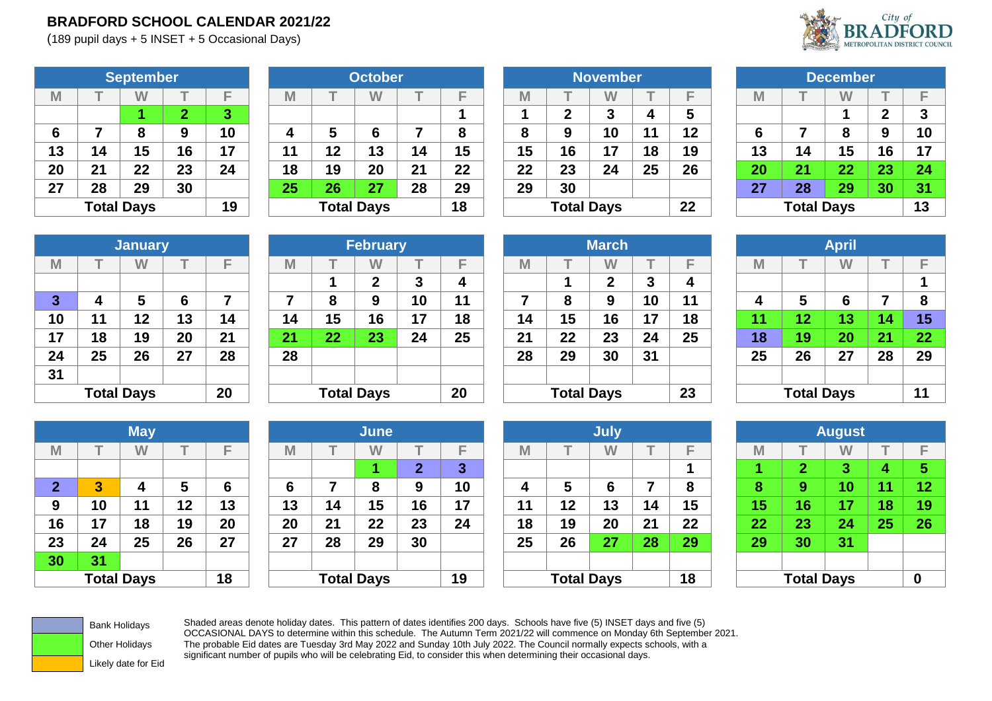## **BRADFORD SCHOOL CALENDAR 2021/22**

(189 pupil days + 5 INSET + 5 Occasional Days)



|    |                   | <b>September</b> |                |    |  |  |  |  |  |
|----|-------------------|------------------|----------------|----|--|--|--|--|--|
| M  |                   |                  |                | F  |  |  |  |  |  |
|    |                   |                  | $\overline{2}$ | 3  |  |  |  |  |  |
| 6  | 7                 | 8                | 9              | 10 |  |  |  |  |  |
| 13 | 14                | 15               | 16             | 17 |  |  |  |  |  |
| 20 | 21                | 22               | 23             | 24 |  |  |  |  |  |
| 27 | 30<br>29<br>28    |                  |                |    |  |  |  |  |  |
|    | <b>Total Days</b> |                  |                |    |  |  |  |  |  |

|    | W  |                   |           | M  |    | W  |                   | -              | M  |    | W      |                   | E               | M  |    | W  |                   |                 |
|----|----|-------------------|-----------|----|----|----|-------------------|----------------|----|----|--------|-------------------|-----------------|----|----|----|-------------------|-----------------|
|    |    |                   | $\bullet$ |    |    |    |                   |                |    | ◠  | າ<br>J | 4                 | 5               |    |    |    |                   | 3               |
| -  | 8  |                   | 10        | 4  | 5  | 6  |                   | O              | 8  | 9  | 10     | 11                | 12              | 6  |    | 8  |                   | 10              |
| 14 | 15 | 16                | 17        | 11 | 12 | 13 | 14                | 15             | 15 | 16 | 17     | 18                | 19              | 13 | 14 | 15 | 16                | 17              |
| 21 | 22 | 23                | 24        | 18 | 19 | 20 | 21                | 22             | 22 | 23 | 24     | 25                | 26              | 20 | 21 | 22 | 23                | 24              |
| 28 | 29 | 30                |           | 25 | 26 | 27 | 28                | 29             | 29 | 30 |        |                   |                 | 27 | 28 | 29 | 30                | 31              |
|    |    |                   | 19        |    |    |    |                   | 18             |    |    |        |                   | 22              |    |    |    |                   | 13              |
|    |    | <b>Total Days</b> | September |    |    |    | <b>Total Days</b> | <b>October</b> |    |    |        | <b>Total Days</b> | <b>November</b> |    |    |    | <b>Total Days</b> | <b>December</b> |

|    |                   | <b>November</b> |    |    |  |  |  |  |  |  |
|----|-------------------|-----------------|----|----|--|--|--|--|--|--|
| M  |                   |                 |    | F  |  |  |  |  |  |  |
| 1  | $\mathbf{2}$      | 3               | 4  | 5  |  |  |  |  |  |  |
| 8  | 9                 | 10              | 11 | 12 |  |  |  |  |  |  |
| 15 | 16                | 17              | 18 | 19 |  |  |  |  |  |  |
| 22 | 23                | 24              | 25 | 26 |  |  |  |  |  |  |
| 29 | 30                |                 |    |    |  |  |  |  |  |  |
|    | <b>Total Days</b> |                 |    |    |  |  |  |  |  |  |

|    | <b>December</b>   |    |             |    |  |  |  |  |  |  |  |  |  |
|----|-------------------|----|-------------|----|--|--|--|--|--|--|--|--|--|
| M  |                   |    |             | F  |  |  |  |  |  |  |  |  |  |
|    |                   | 1  | $\mathbf 2$ | 3  |  |  |  |  |  |  |  |  |  |
| 6  | 9<br>8<br>7       |    |             |    |  |  |  |  |  |  |  |  |  |
| 13 | 14                | 15 | 16          | 17 |  |  |  |  |  |  |  |  |  |
| 20 | 21                | 22 | 23          | 24 |  |  |  |  |  |  |  |  |  |
| 27 | 28                | 29 | 30          | 31 |  |  |  |  |  |  |  |  |  |
|    | <b>Total Days</b> |    |             |    |  |  |  |  |  |  |  |  |  |

|              |    | <b>January</b>    |    |    |
|--------------|----|-------------------|----|----|
| M            | Т  | W                 | T  | F  |
|              |    |                   |    |    |
| $\mathbf{3}$ | 4  | 5                 | 6  | 7  |
| 10           | 11 | 12                | 13 | 14 |
| 17           | 18 | 19                | 20 | 21 |
| 24           | 25 | 26                | 27 | 28 |
| 31           |    |                   |    |    |
|              |    | <b>Total Days</b> |    | 20 |

|              |    | <b>January</b>    |    |    |    |    | <b>February</b>   |    |    |    |                   | <b>March</b> |        |    |                 |                   | <b>April</b> |                 |    |
|--------------|----|-------------------|----|----|----|----|-------------------|----|----|----|-------------------|--------------|--------|----|-----------------|-------------------|--------------|-----------------|----|
| M            |    | W                 |    | −  | M  |    | W                 |    | E  | M  |                   | W            |        | F  | M               |                   | W            |                 |    |
|              |    |                   |    |    |    |    | $\mathbf 2$       | 3  | 4  |    |                   | າ            | 2<br>J | 4  |                 |                   |              |                 |    |
| $\mathbf{3}$ | 4  | 5                 | 6  |    | ⇁  | 8  | 9                 | 10 | 11 |    | 8                 | 9            | 10     | 11 | 4               | 5                 | 6            |                 | 8  |
| 10           | 11 | 12                | 13 | 14 | 14 | 15 | 16                | 17 | 18 | 14 | 15                | 16           | 17     | 18 | $\overline{11}$ | 12                | 13           | $\overline{14}$ | 15 |
| 17           | 18 | 19                | 20 | 21 | 21 | 22 | 23                | 24 | 25 | 21 | 22                | 23           | 24     | 25 | 18              | 19                | 20           | 21              | 22 |
| 24           | 25 | 26                | 27 | 28 | 28 |    |                   |    |    | 28 | 29                | 30           | 31     |    | 25              | 26                | 27           | 28              | 29 |
| 31           |    |                   |    |    |    |    |                   |    |    |    |                   |              |        |    |                 |                   |              |                 |    |
|              |    | <b>Total Days</b> |    | 20 |    |    | <b>Total Days</b> |    | 20 |    | <b>Total Days</b> |              |        | 23 |                 | <b>Total Days</b> |              |                 | 11 |

|                   | <b>February</b> |    |    |    |                   | <b>March</b> |    |    |    |                   | <b>April</b> |    |                |
|-------------------|-----------------|----|----|----|-------------------|--------------|----|----|----|-------------------|--------------|----|----------------|
|                   | W               |    | F  | M  |                   | W            |    | Е  | M  |                   | W            |    | F              |
| 1                 | $\mathbf{2}$    | 3  | 4  |    |                   | $\mathbf{2}$ | 3  | 4  |    |                   |              |    | 1              |
| 8                 | 9               | 10 | 11 | 7  | 8                 | 9            | 10 | 11 | 4  | 5                 | 6            | 7  | 8              |
| $\overline{5}$    | 16              | 17 | 18 | 14 | 15                | 16           | 17 | 18 | 11 | 12                | 13           | 14 | 1!             |
| $22 \overline{ }$ | 23              | 24 | 25 | 21 | 22                | 23           | 24 | 25 | 18 | 19                | 20           | 21 | 2 <sup>2</sup> |
|                   |                 |    |    | 28 | 29                | 30           | 31 |    | 25 | 26                | 27           | 28 | 2 <sub>3</sub> |
|                   |                 |    |    |    |                   |              |    |    |    |                   |              |    |                |
|                   | otal Days       |    | 20 |    | <b>Total Days</b> |              |    | 23 |    | <b>Total Days</b> |              |    | 11             |

|    |                   | <b>April</b> |    |    |
|----|-------------------|--------------|----|----|
| M  | т                 |              | T  | F  |
|    |                   |              |    | 1  |
| 4  | 5                 | 6            | 7  | 8  |
| 11 | 12                | 13           | 14 | 15 |
| 18 | 19                | 20           | 21 | 22 |
| 25 | 26                | 27           | 28 | 29 |
|    |                   |              |    |    |
|    | <b>Total Days</b> |              |    | 11 |

|              |    | <b>May</b>        |    |    |
|--------------|----|-------------------|----|----|
| M            | т  |                   | т  | F  |
|              |    |                   |    |    |
| $\mathbf{2}$ | 3  | 4                 | 5  | 6  |
| 9            | 10 | 11                | 12 | 13 |
| 16           | 17 | 18                | 19 | 20 |
| 23           | 24 | 25                | 26 | 27 |
| 30           | 31 |                   |    |    |
|              |    | <b>Total Days</b> |    | 18 |

|              |    | <b>May</b>        |    |    |    |    | June              |    |    |             |                   | <b>July</b> |    |    |                |                   | <b>August</b> |    |    |
|--------------|----|-------------------|----|----|----|----|-------------------|----|----|-------------|-------------------|-------------|----|----|----------------|-------------------|---------------|----|----|
| M            |    | W                 |    | −  | M  |    | W                 |    |    | $\mathbb M$ |                   | W           |    | E  | M              |                   | W             |    |    |
|              |    |                   |    |    |    |    |                   | ◠  | ъ. |             |                   |             |    |    |                | ⌒                 | - 1           |    | 5  |
| $\mathbf{2}$ | 3  | 4                 |    | 6  | 6  |    | 8                 | 9  | 10 | 4           | 5                 | 6           |    | 8  | $\bullet$<br>o | ο                 | 10            | 44 | 12 |
| 9            | 10 | 11                | 12 | 13 | 13 | 14 | 15                | 16 | 17 | 11          | 12                | 13          | 14 | 15 | $15\,$         | 16                | 17            | 18 | 19 |
| 16           | 17 | 18                | 19 | 20 | 20 | 21 | 22                | 23 | 24 | 18          | 19                | 20          | 21 | 22 | 22             | 23                | 24            | 25 | 26 |
| 23           | 24 | 25                | 26 | 27 | 27 | 28 | 29                | 30 |    | 25          | 26                | 27          | 28 | 29 | 29             | 30                | 31            |    |    |
| 30           | 31 |                   |    |    |    |    |                   |    |    |             |                   |             |    |    |                |                   |               |    |    |
|              |    | <b>Total Days</b> |    | 18 |    |    | <b>Total Days</b> |    | 19 |             | <b>Total Days</b> |             |    | 18 |                | <b>Total Days</b> |               |    |    |

|                | <b>May</b>        |    |    |    |    | <b>June</b>       |    |    |    |                   | <b>July</b> |    |    |    |                   | <b>August</b> |     |                  |
|----------------|-------------------|----|----|----|----|-------------------|----|----|----|-------------------|-------------|----|----|----|-------------------|---------------|-----|------------------|
|                | W                 |    | ▬  | M  |    | W                 |    | Е  | M  |                   | W           |    | E  | M  |                   | W             |     |                  |
|                |                   |    |    |    |    |                   | 0  | 3  |    |                   |             |    |    |    | ≏                 | 3             |     | 5                |
| $\overline{3}$ | 4                 | 5  | 6  | 6  |    | 8                 | 9  | 10 | 4  | 5                 | 6           | ⇁  | 8  | 8  | 9                 | 10            | -44 | 12               |
| 10             | 11                | 12 | 13 | 13 | 14 | 15                | 16 | 17 | 11 | 12                | 13          | 14 | 15 | 15 | 16                | 17            | 18  | 19               |
| 17             | 18                | 19 | 20 | 20 | 21 | 22                | 23 | 24 | 18 | 19                | 20          | 21 | 22 | 22 | 23                | 24            | 25  | 2 <sub>0</sub>   |
| 24             | 25                | 26 | 27 | 27 | 28 | 29                | 30 |    | 25 | 26                | 27          | 28 | 29 | 29 | 30                | 31            |     |                  |
| 31             |                   |    |    |    |    |                   |    |    |    |                   |             |    |    |    |                   |               |     |                  |
|                | <b>Total Days</b> |    | 18 |    |    | <b>Total Days</b> |    | 19 |    | <b>Total Days</b> |             |    | 18 |    | <b>Total Days</b> |               |     | $\boldsymbol{0}$ |

|    | <b>August</b>          |    |    |    |  |  |  |  |  |  |  |  |  |
|----|------------------------|----|----|----|--|--|--|--|--|--|--|--|--|
| M  | т                      |    | T  | F  |  |  |  |  |  |  |  |  |  |
| 1  | $\overline{2}$         | 3  | 4  | 5  |  |  |  |  |  |  |  |  |  |
| 8  | 9                      | 10 | 11 | 12 |  |  |  |  |  |  |  |  |  |
| 15 | 16                     | 17 | 18 | 19 |  |  |  |  |  |  |  |  |  |
| 22 | 23                     | 24 | 25 | 26 |  |  |  |  |  |  |  |  |  |
| 29 | 30                     | 31 |    |    |  |  |  |  |  |  |  |  |  |
|    |                        |    |    |    |  |  |  |  |  |  |  |  |  |
|    | <b>Total Days</b><br>0 |    |    |    |  |  |  |  |  |  |  |  |  |



Bank Holidays Shaded areas denote holiday dates. This pattern of dates identifies 200 days. Schools have five (5) INSET days and five (5)<br>OCCASIONAL DAYS to determine within this schedule. The Autumn Term 2021/22 will comm The probable Eid dates are Tuesday 3rd May 2022 and Sunday 10th July 2022. The Council normally expects schools, with a significant number of pupils who will be celebrating Eid, to consider this when determining their occasional days.

Likely date for Eid